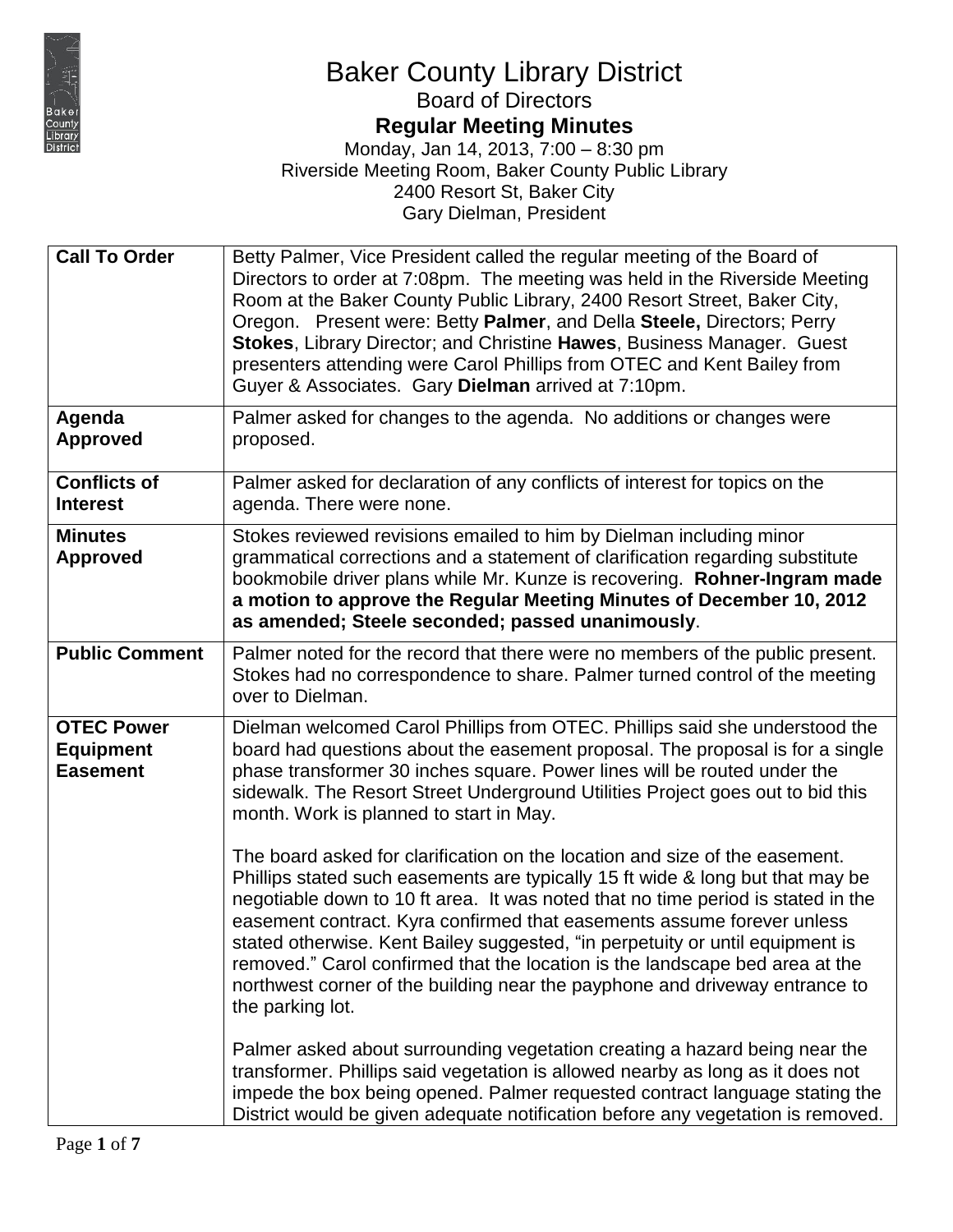

# **Regular Meeting Minutes**

| <b>Call To Order</b>                                     | Betty Palmer, Vice President called the regular meeting of the Board of<br>Directors to order at 7:08pm. The meeting was held in the Riverside Meeting<br>Room at the Baker County Public Library, 2400 Resort Street, Baker City,<br>Oregon. Present were: Betty Palmer, and Della Steele, Directors; Perry<br>Stokes, Library Director; and Christine Hawes, Business Manager. Guest<br>presenters attending were Carol Phillips from OTEC and Kent Bailey from<br>Guyer & Associates. Gary Dielman arrived at 7:10pm.                                                                        |
|----------------------------------------------------------|-------------------------------------------------------------------------------------------------------------------------------------------------------------------------------------------------------------------------------------------------------------------------------------------------------------------------------------------------------------------------------------------------------------------------------------------------------------------------------------------------------------------------------------------------------------------------------------------------|
| Agenda<br><b>Approved</b>                                | Palmer asked for changes to the agenda. No additions or changes were<br>proposed.                                                                                                                                                                                                                                                                                                                                                                                                                                                                                                               |
| <b>Conflicts of</b><br><b>Interest</b>                   | Palmer asked for declaration of any conflicts of interest for topics on the<br>agenda. There were none.                                                                                                                                                                                                                                                                                                                                                                                                                                                                                         |
| <b>Minutes</b><br><b>Approved</b>                        | Stokes reviewed revisions emailed to him by Dielman including minor<br>grammatical corrections and a statement of clarification regarding substitute<br>bookmobile driver plans while Mr. Kunze is recovering. Rohner-Ingram made<br>a motion to approve the Regular Meeting Minutes of December 10, 2012<br>as amended; Steele seconded; passed unanimously.                                                                                                                                                                                                                                   |
| <b>Public Comment</b>                                    | Palmer noted for the record that there were no members of the public present.<br>Stokes had no correspondence to share. Palmer turned control of the meeting<br>over to Dielman.                                                                                                                                                                                                                                                                                                                                                                                                                |
| <b>OTEC Power</b><br><b>Equipment</b><br><b>Easement</b> | Dielman welcomed Carol Phillips from OTEC. Phillips said she understood the<br>board had questions about the easement proposal. The proposal is for a single<br>phase transformer 30 inches square. Power lines will be routed under the<br>sidewalk. The Resort Street Underground Utilities Project goes out to bid this<br>month. Work is planned to start in May.                                                                                                                                                                                                                           |
|                                                          | The board asked for clarification on the location and size of the easement.<br>Phillips stated such easements are typically 15 ft wide & long but that may be<br>negotiable down to 10 ft area. It was noted that no time period is stated in the<br>easement contract. Kyra confirmed that easements assume forever unless<br>stated otherwise. Kent Bailey suggested, "in perpetuity or until equipment is<br>removed." Carol confirmed that the location is the landscape bed area at the<br>northwest corner of the building near the payphone and driveway entrance to<br>the parking lot. |
|                                                          | Palmer asked about surrounding vegetation creating a hazard being near the<br>transformer. Phillips said vegetation is allowed nearby as long as it does not<br>impede the box being opened. Palmer requested contract language stating the<br>District would be given adequate notification before any vegetation is removed.                                                                                                                                                                                                                                                                  |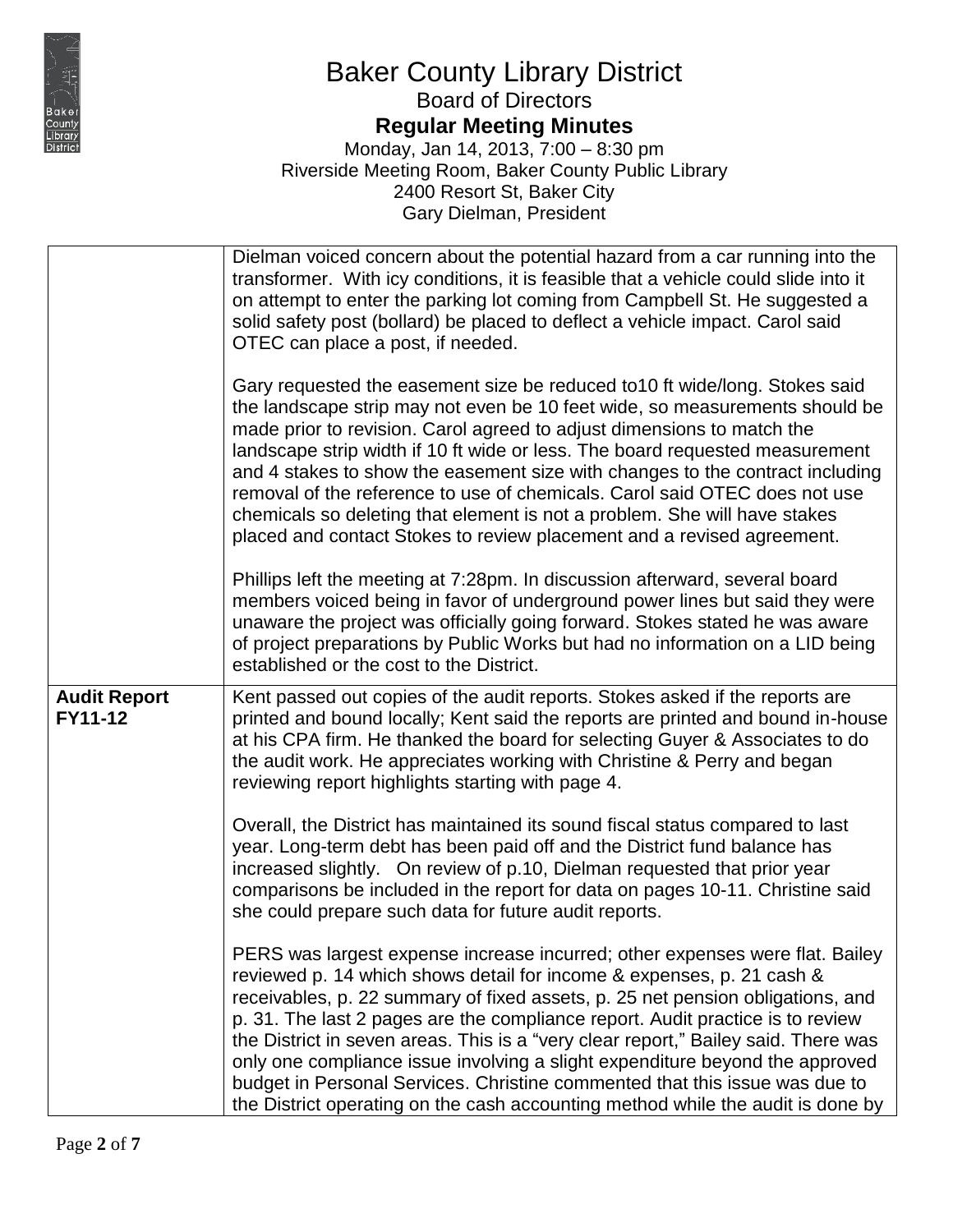

## Baker County Library District Board of Directors **Regular Meeting Minutes**

|                                | Dielman voiced concern about the potential hazard from a car running into the<br>transformer. With icy conditions, it is feasible that a vehicle could slide into it<br>on attempt to enter the parking lot coming from Campbell St. He suggested a<br>solid safety post (bollard) be placed to deflect a vehicle impact. Carol said<br>OTEC can place a post, if needed.                                                                                                                                                                                                                                                                                         |
|--------------------------------|-------------------------------------------------------------------------------------------------------------------------------------------------------------------------------------------------------------------------------------------------------------------------------------------------------------------------------------------------------------------------------------------------------------------------------------------------------------------------------------------------------------------------------------------------------------------------------------------------------------------------------------------------------------------|
|                                | Gary requested the easement size be reduced to 10 ft wide/long. Stokes said<br>the landscape strip may not even be 10 feet wide, so measurements should be<br>made prior to revision. Carol agreed to adjust dimensions to match the<br>landscape strip width if 10 ft wide or less. The board requested measurement<br>and 4 stakes to show the easement size with changes to the contract including<br>removal of the reference to use of chemicals. Carol said OTEC does not use<br>chemicals so deleting that element is not a problem. She will have stakes<br>placed and contact Stokes to review placement and a revised agreement.                        |
|                                | Phillips left the meeting at 7:28pm. In discussion afterward, several board<br>members voiced being in favor of underground power lines but said they were<br>unaware the project was officially going forward. Stokes stated he was aware<br>of project preparations by Public Works but had no information on a LID being<br>established or the cost to the District.                                                                                                                                                                                                                                                                                           |
| <b>Audit Report</b><br>FY11-12 | Kent passed out copies of the audit reports. Stokes asked if the reports are<br>printed and bound locally; Kent said the reports are printed and bound in-house<br>at his CPA firm. He thanked the board for selecting Guyer & Associates to do<br>the audit work. He appreciates working with Christine & Perry and began<br>reviewing report highlights starting with page 4.                                                                                                                                                                                                                                                                                   |
|                                | Overall, the District has maintained its sound fiscal status compared to last<br>year. Long-term debt has been paid off and the District fund balance has<br>increased slightly. On review of p.10, Dielman requested that prior year<br>comparisons be included in the report for data on pages 10-11. Christine said<br>she could prepare such data for future audit reports.                                                                                                                                                                                                                                                                                   |
|                                | PERS was largest expense increase incurred; other expenses were flat. Bailey<br>reviewed p. 14 which shows detail for income & expenses, p. 21 cash &<br>receivables, p. 22 summary of fixed assets, p. 25 net pension obligations, and<br>p. 31. The last 2 pages are the compliance report. Audit practice is to review<br>the District in seven areas. This is a "very clear report," Bailey said. There was<br>only one compliance issue involving a slight expenditure beyond the approved<br>budget in Personal Services. Christine commented that this issue was due to<br>the District operating on the cash accounting method while the audit is done by |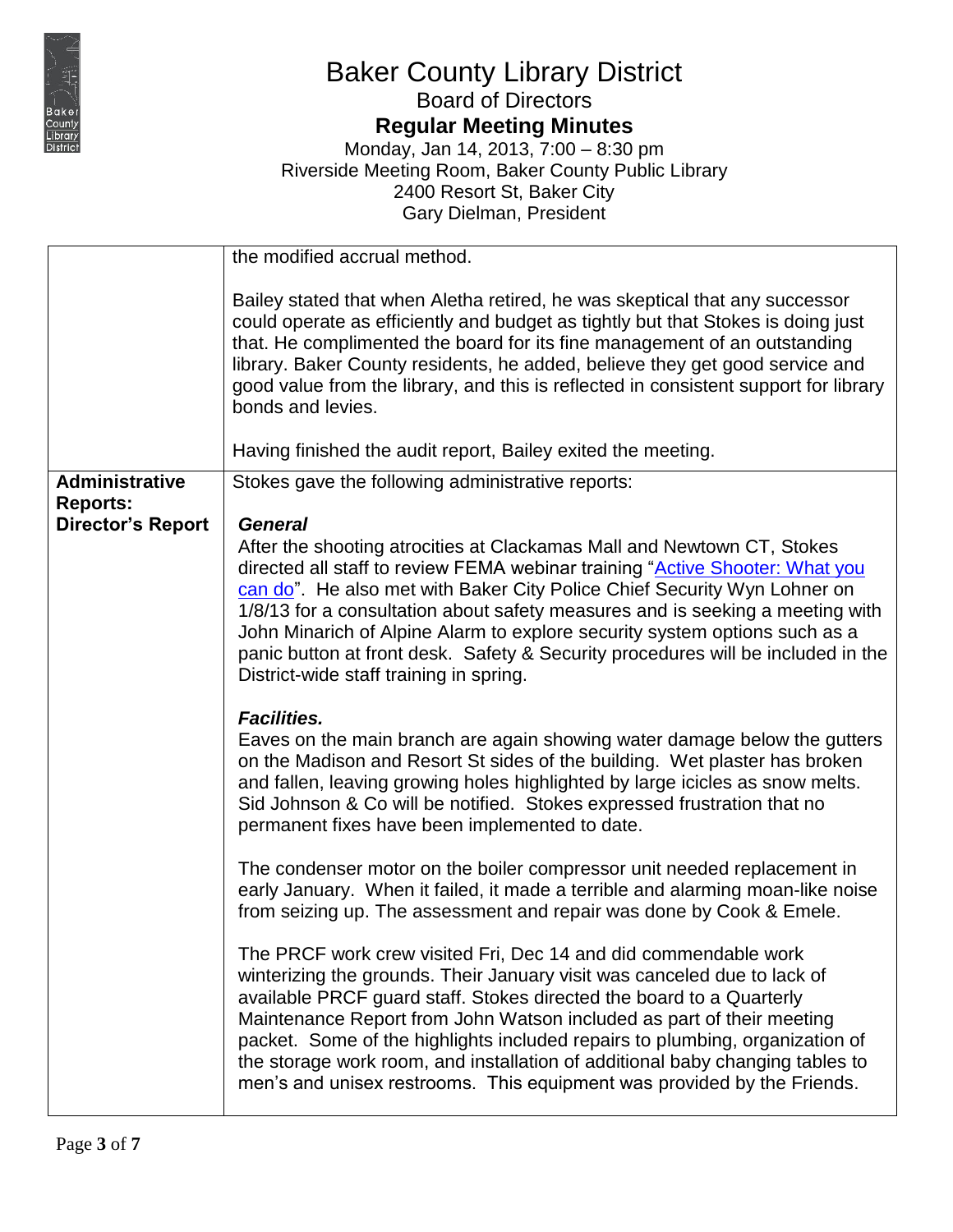

**Regular Meeting Minutes**

|                                          | the modified accrual method.                                                                                                                                                                                                                                                                                                                                                                                                                                                                                                                       |
|------------------------------------------|----------------------------------------------------------------------------------------------------------------------------------------------------------------------------------------------------------------------------------------------------------------------------------------------------------------------------------------------------------------------------------------------------------------------------------------------------------------------------------------------------------------------------------------------------|
|                                          | Bailey stated that when Aletha retired, he was skeptical that any successor<br>could operate as efficiently and budget as tightly but that Stokes is doing just<br>that. He complimented the board for its fine management of an outstanding<br>library. Baker County residents, he added, believe they get good service and<br>good value from the library, and this is reflected in consistent support for library<br>bonds and levies.                                                                                                          |
|                                          | Having finished the audit report, Bailey exited the meeting.                                                                                                                                                                                                                                                                                                                                                                                                                                                                                       |
| <b>Administrative</b><br><b>Reports:</b> | Stokes gave the following administrative reports:                                                                                                                                                                                                                                                                                                                                                                                                                                                                                                  |
| <b>Director's Report</b>                 | <b>General</b><br>After the shooting atrocities at Clackamas Mall and Newtown CT, Stokes<br>directed all staff to review FEMA webinar training "Active Shooter: What you<br>can do". He also met with Baker City Police Chief Security Wyn Lohner on<br>1/8/13 for a consultation about safety measures and is seeking a meeting with<br>John Minarich of Alpine Alarm to explore security system options such as a<br>panic button at front desk. Safety & Security procedures will be included in the<br>District-wide staff training in spring. |
|                                          | <b>Facilities.</b><br>Eaves on the main branch are again showing water damage below the gutters<br>on the Madison and Resort St sides of the building. Wet plaster has broken<br>and fallen, leaving growing holes highlighted by large icicles as snow melts.<br>Sid Johnson & Co will be notified. Stokes expressed frustration that no<br>permanent fixes have been implemented to date.                                                                                                                                                        |
|                                          | The condenser motor on the boiler compressor unit needed replacement in<br>early January. When it failed, it made a terrible and alarming moan-like noise<br>from seizing up. The assessment and repair was done by Cook & Emele.                                                                                                                                                                                                                                                                                                                  |
|                                          | The PRCF work crew visited Fri, Dec 14 and did commendable work<br>winterizing the grounds. Their January visit was canceled due to lack of<br>available PRCF guard staff. Stokes directed the board to a Quarterly<br>Maintenance Report from John Watson included as part of their meeting<br>packet. Some of the highlights included repairs to plumbing, organization of<br>the storage work room, and installation of additional baby changing tables to<br>men's and unisex restrooms. This equipment was provided by the Friends.           |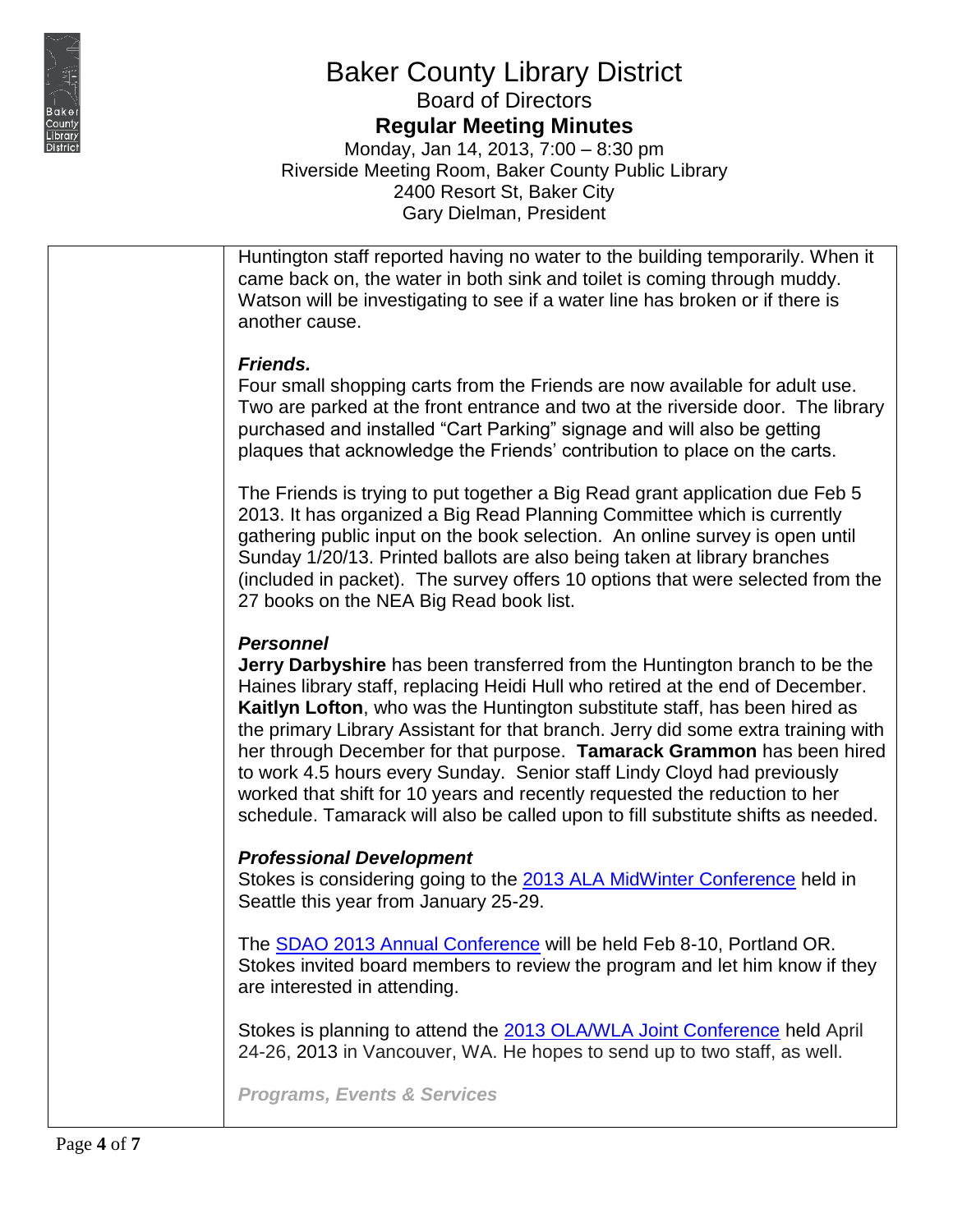

**Regular Meeting Minutes**

Monday, Jan 14, 2013, 7:00 – 8:30 pm Riverside Meeting Room, Baker County Public Library 2400 Resort St, Baker City Gary Dielman, President

Huntington staff reported having no water to the building temporarily. When it came back on, the water in both sink and toilet is coming through muddy. Watson will be investigating to see if a water line has broken or if there is another cause.

#### *Friends.*

Four small shopping carts from the Friends are now available for adult use. Two are parked at the front entrance and two at the riverside door. The library purchased and installed "Cart Parking" signage and will also be getting plaques that acknowledge the Friends' contribution to place on the carts.

The Friends is trying to put together a Big Read grant application due Feb 5 2013. It has organized a Big Read Planning Committee which is currently gathering public input on the book selection. An online survey is open until Sunday 1/20/13. Printed ballots are also being taken at library branches (included in packet). The survey offers 10 options that were selected from the 27 books on the NEA Big Read book list.

#### *Personnel*

**Jerry Darbyshire** has been transferred from the Huntington branch to be the Haines library staff, replacing Heidi Hull who retired at the end of December. **Kaitlyn Lofton**, who was the Huntington substitute staff, has been hired as the primary Library Assistant for that branch. Jerry did some extra training with her through December for that purpose. **Tamarack Grammon** has been hired to work 4.5 hours every Sunday. Senior staff Lindy Cloyd had previously worked that shift for 10 years and recently requested the reduction to her schedule. Tamarack will also be called upon to fill substitute shifts as needed.

#### *Professional Development*

Stokes is considering going to the [2013 ALA MidWinter Conference](http://alamw13.ala.org/) held in Seattle this year from January 25-29.

The [SDAO 2013 Annual Conference](https://www.sdao.com/) will be held Feb 8-10, Portland OR. Stokes invited board members to review the program and let him know if they are interested in attending.

Stokes is planning to attend the [2013 OLA/WLA Joint Conference](https://ola.memberclicks.net/conferences) held April 24-26, 2013 in Vancouver, WA. He hopes to send up to two staff, as well.

*Programs, Events & Services*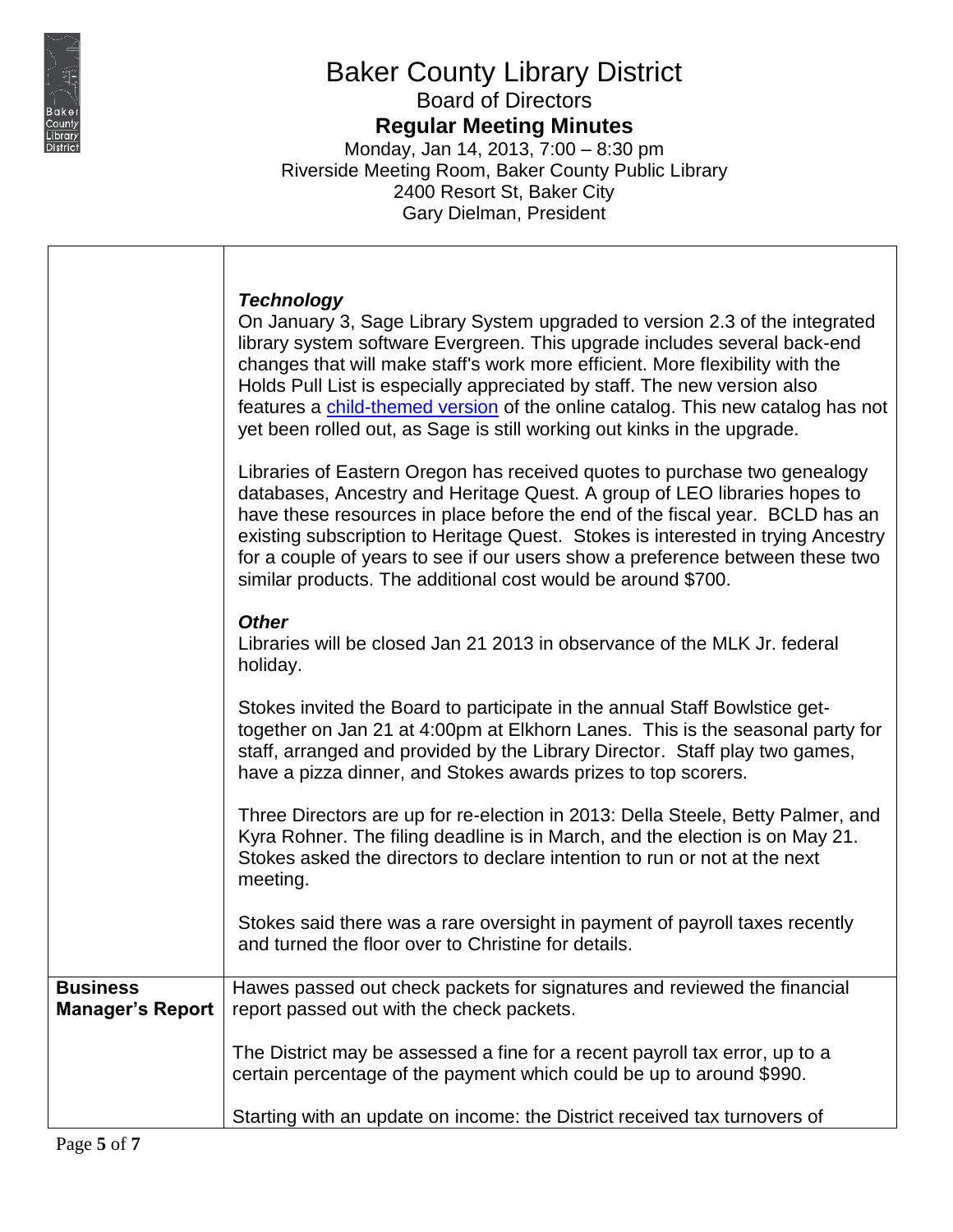

 $\overline{\phantom{a}}$ 

Τ

# Baker County Library District

Board of Directors **Regular Meeting Minutes**

|                                            | <b>Technology</b><br>On January 3, Sage Library System upgraded to version 2.3 of the integrated<br>library system software Evergreen. This upgrade includes several back-end<br>changes that will make staff's work more efficient. More flexibility with the<br>Holds Pull List is especially appreciated by staff. The new version also<br>features a child-themed version of the online catalog. This new catalog has not<br>yet been rolled out, as Sage is still working out kinks in the upgrade.<br>Libraries of Eastern Oregon has received quotes to purchase two genealogy<br>databases, Ancestry and Heritage Quest. A group of LEO libraries hopes to<br>have these resources in place before the end of the fiscal year. BCLD has an<br>existing subscription to Heritage Quest. Stokes is interested in trying Ancestry<br>for a couple of years to see if our users show a preference between these two<br>similar products. The additional cost would be around \$700. |
|--------------------------------------------|-----------------------------------------------------------------------------------------------------------------------------------------------------------------------------------------------------------------------------------------------------------------------------------------------------------------------------------------------------------------------------------------------------------------------------------------------------------------------------------------------------------------------------------------------------------------------------------------------------------------------------------------------------------------------------------------------------------------------------------------------------------------------------------------------------------------------------------------------------------------------------------------------------------------------------------------------------------------------------------------|
|                                            | <b>Other</b><br>Libraries will be closed Jan 21 2013 in observance of the MLK Jr. federal<br>holiday.                                                                                                                                                                                                                                                                                                                                                                                                                                                                                                                                                                                                                                                                                                                                                                                                                                                                                   |
|                                            | Stokes invited the Board to participate in the annual Staff Bowlstice get-<br>together on Jan 21 at 4:00pm at Elkhorn Lanes. This is the seasonal party for<br>staff, arranged and provided by the Library Director. Staff play two games,<br>have a pizza dinner, and Stokes awards prizes to top scorers.                                                                                                                                                                                                                                                                                                                                                                                                                                                                                                                                                                                                                                                                             |
|                                            | Three Directors are up for re-election in 2013: Della Steele, Betty Palmer, and<br>Kyra Rohner. The filing deadline is in March, and the election is on May 21.<br>Stokes asked the directors to declare intention to run or not at the next<br>meeting.                                                                                                                                                                                                                                                                                                                                                                                                                                                                                                                                                                                                                                                                                                                                |
|                                            | Stokes said there was a rare oversight in payment of payroll taxes recently<br>and turned the floor over to Christine for details.                                                                                                                                                                                                                                                                                                                                                                                                                                                                                                                                                                                                                                                                                                                                                                                                                                                      |
| <b>Business</b><br><b>Manager's Report</b> | Hawes passed out check packets for signatures and reviewed the financial<br>report passed out with the check packets.                                                                                                                                                                                                                                                                                                                                                                                                                                                                                                                                                                                                                                                                                                                                                                                                                                                                   |
|                                            | The District may be assessed a fine for a recent payroll tax error, up to a<br>certain percentage of the payment which could be up to around \$990.                                                                                                                                                                                                                                                                                                                                                                                                                                                                                                                                                                                                                                                                                                                                                                                                                                     |
|                                            | Starting with an update on income: the District received tax turnovers of                                                                                                                                                                                                                                                                                                                                                                                                                                                                                                                                                                                                                                                                                                                                                                                                                                                                                                               |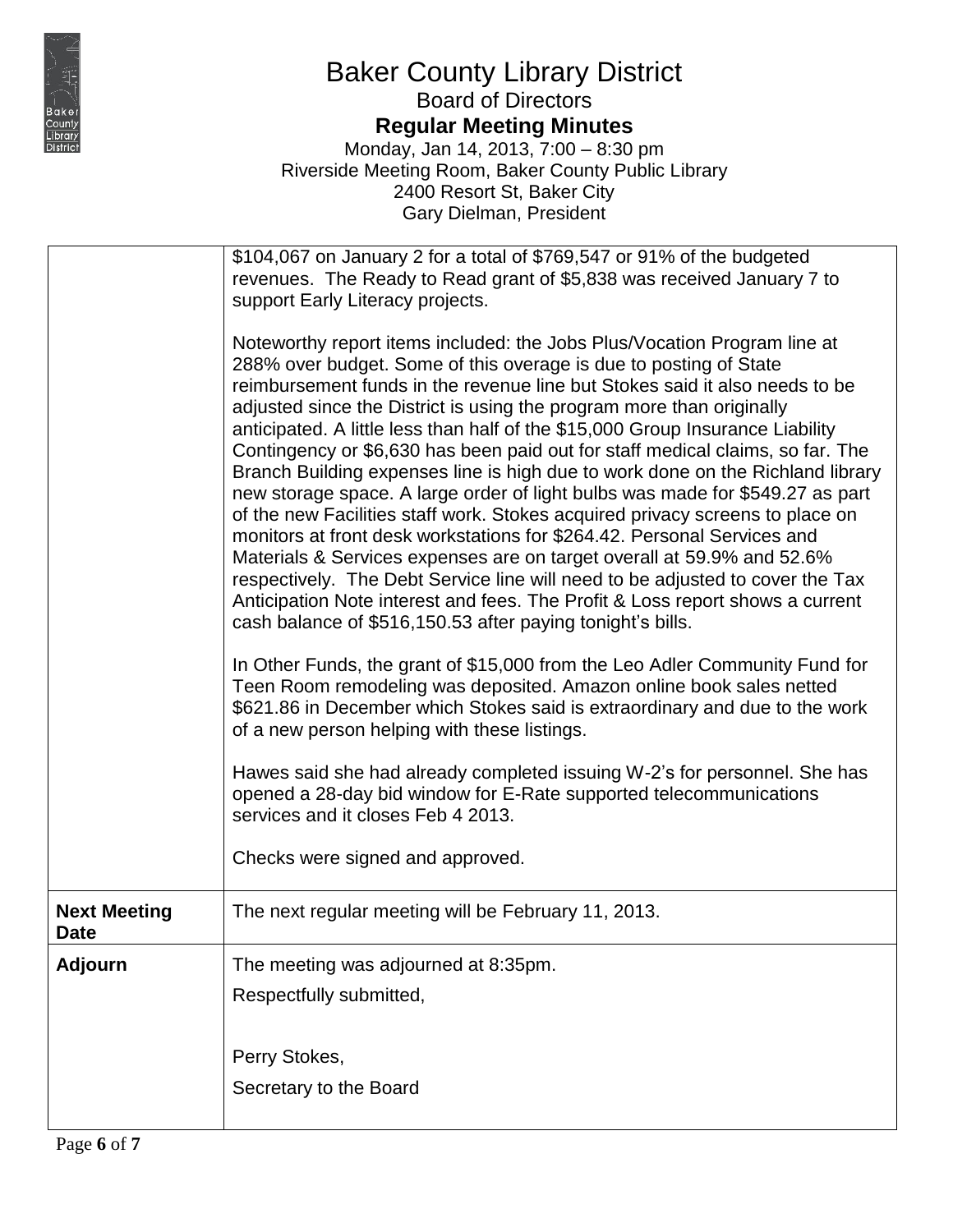

**Regular Meeting Minutes**

|                                    | \$104,067 on January 2 for a total of \$769,547 or 91% of the budgeted                                                                                                                                                                                                                                                                                                                                                                                                                                                                                                                                                                                                                                                                                                                                                                                                                                                                                                                                                                                                                                             |
|------------------------------------|--------------------------------------------------------------------------------------------------------------------------------------------------------------------------------------------------------------------------------------------------------------------------------------------------------------------------------------------------------------------------------------------------------------------------------------------------------------------------------------------------------------------------------------------------------------------------------------------------------------------------------------------------------------------------------------------------------------------------------------------------------------------------------------------------------------------------------------------------------------------------------------------------------------------------------------------------------------------------------------------------------------------------------------------------------------------------------------------------------------------|
|                                    | revenues. The Ready to Read grant of \$5,838 was received January 7 to                                                                                                                                                                                                                                                                                                                                                                                                                                                                                                                                                                                                                                                                                                                                                                                                                                                                                                                                                                                                                                             |
|                                    | support Early Literacy projects.                                                                                                                                                                                                                                                                                                                                                                                                                                                                                                                                                                                                                                                                                                                                                                                                                                                                                                                                                                                                                                                                                   |
|                                    | Noteworthy report items included: the Jobs Plus/Vocation Program line at<br>288% over budget. Some of this overage is due to posting of State<br>reimbursement funds in the revenue line but Stokes said it also needs to be<br>adjusted since the District is using the program more than originally<br>anticipated. A little less than half of the \$15,000 Group Insurance Liability<br>Contingency or \$6,630 has been paid out for staff medical claims, so far. The<br>Branch Building expenses line is high due to work done on the Richland library<br>new storage space. A large order of light bulbs was made for \$549.27 as part<br>of the new Facilities staff work. Stokes acquired privacy screens to place on<br>monitors at front desk workstations for \$264.42. Personal Services and<br>Materials & Services expenses are on target overall at 59.9% and 52.6%<br>respectively. The Debt Service line will need to be adjusted to cover the Tax<br>Anticipation Note interest and fees. The Profit & Loss report shows a current<br>cash balance of \$516,150.53 after paying tonight's bills. |
|                                    | In Other Funds, the grant of \$15,000 from the Leo Adler Community Fund for<br>Teen Room remodeling was deposited. Amazon online book sales netted<br>\$621.86 in December which Stokes said is extraordinary and due to the work<br>of a new person helping with these listings.                                                                                                                                                                                                                                                                                                                                                                                                                                                                                                                                                                                                                                                                                                                                                                                                                                  |
|                                    | Hawes said she had already completed issuing W-2's for personnel. She has<br>opened a 28-day bid window for E-Rate supported telecommunications<br>services and it closes Feb 4 2013.                                                                                                                                                                                                                                                                                                                                                                                                                                                                                                                                                                                                                                                                                                                                                                                                                                                                                                                              |
|                                    | Checks were signed and approved.                                                                                                                                                                                                                                                                                                                                                                                                                                                                                                                                                                                                                                                                                                                                                                                                                                                                                                                                                                                                                                                                                   |
| <b>Next Meeting</b><br><b>Date</b> | The next regular meeting will be February 11, 2013.                                                                                                                                                                                                                                                                                                                                                                                                                                                                                                                                                                                                                                                                                                                                                                                                                                                                                                                                                                                                                                                                |
| <b>Adjourn</b>                     | The meeting was adjourned at 8:35pm.                                                                                                                                                                                                                                                                                                                                                                                                                                                                                                                                                                                                                                                                                                                                                                                                                                                                                                                                                                                                                                                                               |
|                                    | Respectfully submitted,                                                                                                                                                                                                                                                                                                                                                                                                                                                                                                                                                                                                                                                                                                                                                                                                                                                                                                                                                                                                                                                                                            |
|                                    |                                                                                                                                                                                                                                                                                                                                                                                                                                                                                                                                                                                                                                                                                                                                                                                                                                                                                                                                                                                                                                                                                                                    |
|                                    |                                                                                                                                                                                                                                                                                                                                                                                                                                                                                                                                                                                                                                                                                                                                                                                                                                                                                                                                                                                                                                                                                                                    |
|                                    | Perry Stokes,                                                                                                                                                                                                                                                                                                                                                                                                                                                                                                                                                                                                                                                                                                                                                                                                                                                                                                                                                                                                                                                                                                      |
|                                    | Secretary to the Board                                                                                                                                                                                                                                                                                                                                                                                                                                                                                                                                                                                                                                                                                                                                                                                                                                                                                                                                                                                                                                                                                             |
|                                    |                                                                                                                                                                                                                                                                                                                                                                                                                                                                                                                                                                                                                                                                                                                                                                                                                                                                                                                                                                                                                                                                                                                    |